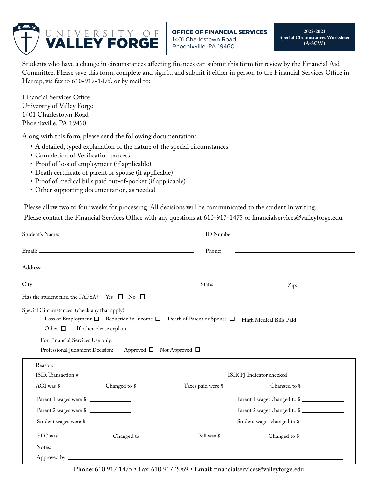

**2022-2023 Special Circumstances Worksheet (A-SCW)**

Students who have a change in circumstances affecting finances can submit this form for review by the Financial Aid Committee. Please save this form, complete and sign it, and submit it either in person to the Financial Services Office in Harrup, via fax to 610-917-1475, or by mail to:

Financial Services Office University of Valley Forge 1401 Charlestown Road Phoenixville, PA 19460

Along with this form, please send the following documentation:

- A detailed, typed explanation of the nature of the special circumstances
- Completion of Verification process
- Proof of loss of employment (if applicable)
- Death certificate of parent or spouse (if applicable)
- Proof of medical bills paid out-of-pocket (if applicable)
- Other supporting documentation, as needed

Please allow two to four weeks for processing. All decisions will be communicated to the student in writing.

Please contact the Financial Services Office with any questions at 610-917-1475 or financialservices@valleyforge.edu.

|                                                                                                                                                        | Phone:                         |
|--------------------------------------------------------------------------------------------------------------------------------------------------------|--------------------------------|
|                                                                                                                                                        |                                |
| $\textrm{City:}\n$                                                                                                                                     |                                |
| Has the student filed the FAFSA? Yes $\square$ No $\square$                                                                                            |                                |
| Special Circumstances: (check any that apply)<br>Loss of Employment $\Box$ Reduction in Income $\Box$ Death of Parent or Spouse $\Box$<br>Other $\Box$ | High Medical Bills Paid $\Box$ |
| For Financial Services Use only:<br>Professional Judgment Decision: Approved □ Not Approved □                                                          |                                |
| ISIR Transaction #                                                                                                                                     | Reason:                        |
|                                                                                                                                                        | AGI was \$                     |
| Parent 1 wages were \$                                                                                                                                 | Parent 1 wages changed to \$   |
| Parent 2 wages were \$                                                                                                                                 | Parent 2 wages changed to \$   |
| Student wages were \$                                                                                                                                  | Student wages changed to \$    |
|                                                                                                                                                        |                                |
|                                                                                                                                                        |                                |
|                                                                                                                                                        |                                |

**Phone:** 610.917.1475 • **Fax:** 610.917.2069 • **Email:** financialservices@valleyforge.edu